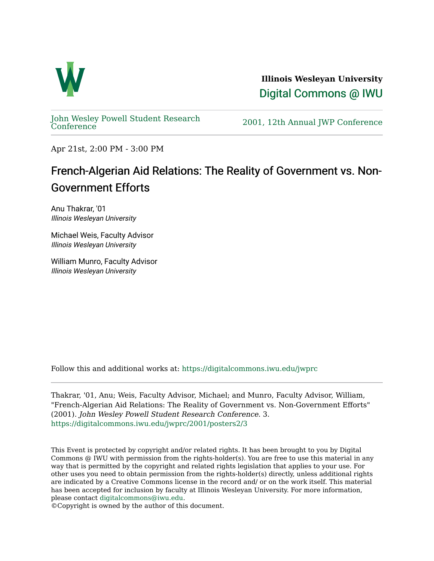

**Illinois Wesleyan University**  [Digital Commons @ IWU](https://digitalcommons.iwu.edu/) 

[John Wesley Powell Student Research](https://digitalcommons.iwu.edu/jwprc) 

2001, 12th Annual JWP [Conference](https://digitalcommons.iwu.edu/jwprc)

Apr 21st, 2:00 PM - 3:00 PM

## French-Algerian Aid Relations: The Reality of Government vs. Non-Government Efforts

Anu Thakrar, '01 Illinois Wesleyan University

Michael Weis, Faculty Advisor Illinois Wesleyan University

William Munro, Faculty Advisor Illinois Wesleyan University

Follow this and additional works at: [https://digitalcommons.iwu.edu/jwprc](https://digitalcommons.iwu.edu/jwprc?utm_source=digitalcommons.iwu.edu%2Fjwprc%2F2001%2Fposters2%2F3&utm_medium=PDF&utm_campaign=PDFCoverPages) 

Thakrar, '01, Anu; Weis, Faculty Advisor, Michael; and Munro, Faculty Advisor, William, "French-Algerian Aid Relations: The Reality of Government vs. Non-Government Efforts" (2001). John Wesley Powell Student Research Conference. 3. [https://digitalcommons.iwu.edu/jwprc/2001/posters2/3](https://digitalcommons.iwu.edu/jwprc/2001/posters2/3?utm_source=digitalcommons.iwu.edu%2Fjwprc%2F2001%2Fposters2%2F3&utm_medium=PDF&utm_campaign=PDFCoverPages)

This Event is protected by copyright and/or related rights. It has been brought to you by Digital Commons @ IWU with permission from the rights-holder(s). You are free to use this material in any way that is permitted by the copyright and related rights legislation that applies to your use. For other uses you need to obtain permission from the rights-holder(s) directly, unless additional rights are indicated by a Creative Commons license in the record and/ or on the work itself. This material has been accepted for inclusion by faculty at Illinois Wesleyan University. For more information, please contact [digitalcommons@iwu.edu.](mailto:digitalcommons@iwu.edu)

©Copyright is owned by the author of this document.